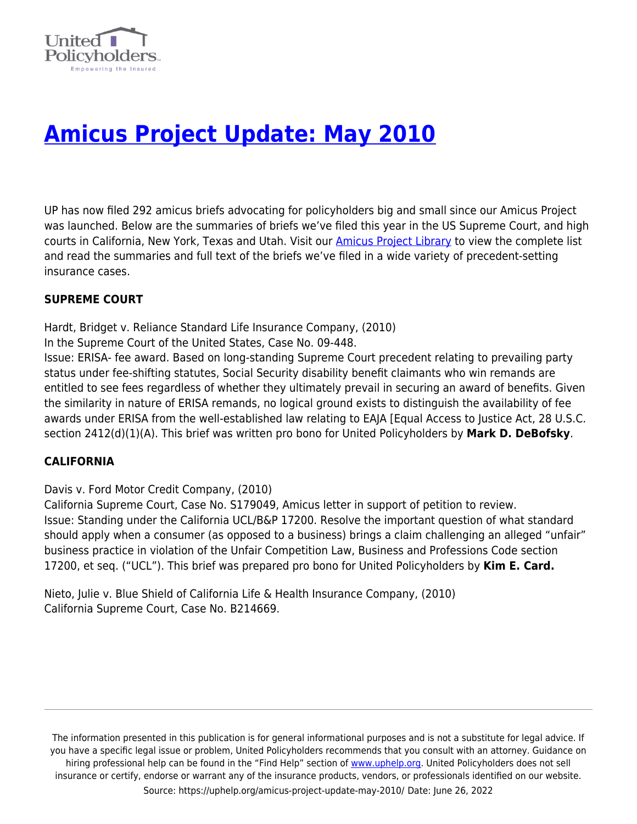

# **[Amicus Project Update: May 2010](https://uphelp.org/amicus-project-update-may-2010/)**

UP has now filed 292 amicus briefs advocating for policyholders big and small since our Amicus Project was launched. Below are the summaries of briefs we've filed this year in the US Supreme Court, and high courts in California, New York, Texas and Utah. Visit our [Amicus Project Library](https://uphelp.org/advocacy/amicus-library/) to view the complete list and read the summaries and full text of the briefs we've filed in a wide variety of precedent-setting insurance cases.

### **SUPREME COURT**

Hardt, Bridget v. Reliance Standard Life Insurance Company, (2010)

In the Supreme Court of the United States, Case No. 09-448.

Issue: ERISA- fee award. Based on long-standing Supreme Court precedent relating to prevailing party status under fee-shifting statutes, Social Security disability benefit claimants who win remands are entitled to see fees regardless of whether they ultimately prevail in securing an award of benefits. Given the similarity in nature of ERISA remands, no logical ground exists to distinguish the availability of fee awards under ERISA from the well-established law relating to EAJA [Equal Access to Justice Act, 28 U.S.C. section 2412(d)(1)(A). This brief was written pro bono for United Policyholders by **Mark D. DeBofsky**.

### **CALIFORNIA**

Davis v. Ford Motor Credit Company, (2010)

California Supreme Court, Case No. S179049, Amicus letter in support of petition to review. Issue: Standing under the California UCL/B&P 17200. Resolve the important question of what standard should apply when a consumer (as opposed to a business) brings a claim challenging an alleged "unfair" business practice in violation of the Unfair Competition Law, Business and Professions Code section 17200, et seq. ("UCL"). This brief was prepared pro bono for United Policyholders by **Kim E. Card.**

Nieto, Julie v. Blue Shield of California Life & Health Insurance Company, (2010) California Supreme Court, Case No. B214669.

The information presented in this publication is for general informational purposes and is not a substitute for legal advice. If you have a specific legal issue or problem, United Policyholders recommends that you consult with an attorney. Guidance on hiring professional help can be found in the "Find Help" section of [www.uphelp.org.](http://www.uphelp.org/) United Policyholders does not sell insurance or certify, endorse or warrant any of the insurance products, vendors, or professionals identified on our website. Source: https://uphelp.org/amicus-project-update-may-2010/ Date: June 26, 2022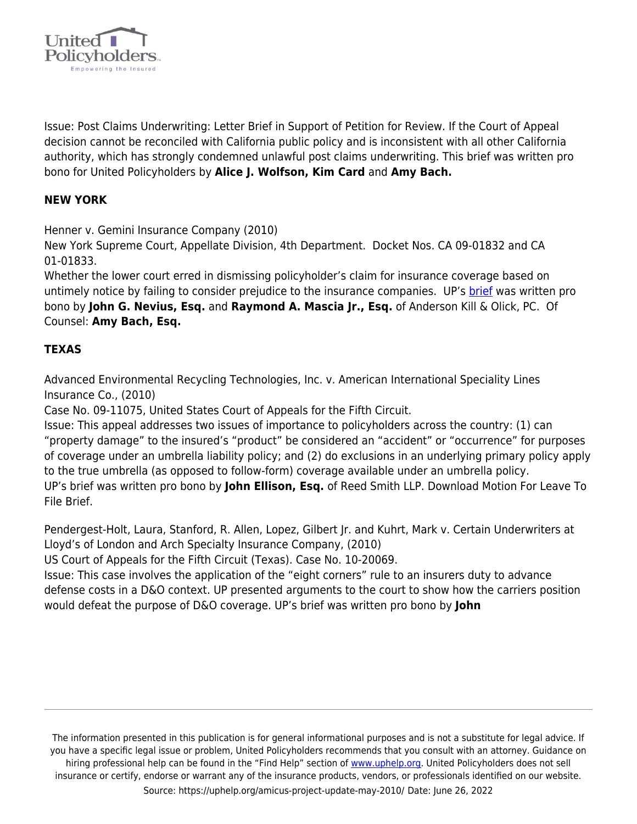

Issue: Post Claims Underwriting: Letter Brief in Support of Petition for Review. If the Court of Appeal decision cannot be reconciled with California public policy and is inconsistent with all other California authority, which has strongly condemned unlawful post claims underwriting. This brief was written pro bono for United Policyholders by **Alice J. Wolfson, Kim Card** and **Amy Bach.**

## **NEW YORK**

Henner v. Gemini Insurance Company (2010)

New York Supreme Court, Appellate Division, 4th Department. Docket Nos. CA 09-01832 and CA 01-01833.

Whether the lower court erred in dismissing policyholder's claim for insurance coverage based on untimely notice by failing to consider prejudice to the insurance companies. UP's [brief](http://www.unitedpolicyholders.org/pdfs/HennervGeminiInsuranceCobrief.pdf) was written pro bono by **John G. Nevius, Esq.** and **Raymond A. Mascia Jr., Esq.** of Anderson Kill & Olick, PC. Of Counsel: **Amy Bach, Esq.** 

### **TEXAS**

Advanced Environmental Recycling Technologies, Inc. v. American International Speciality Lines Insurance Co., (2010)

Case No. 09-11075, United States Court of Appeals for the Fifth Circuit.

Issue: This appeal addresses two issues of importance to policyholders across the country: (1) can "property damage" to the insured's "product" be considered an "accident" or "occurrence" for purposes of coverage under an umbrella liability policy; and (2) do exclusions in an underlying primary policy apply to the true umbrella (as opposed to follow-form) coverage available under an umbrella policy. UP's brief was written pro bono by **John Ellison, Esq.** of Reed Smith LLP. Download Motion For Leave To File Brief.

Pendergest-Holt, Laura, Stanford, R. Allen, Lopez, Gilbert Jr. and Kuhrt, Mark v. Certain Underwriters at Lloyd's of London and Arch Specialty Insurance Company, (2010)

US Court of Appeals for the Fifth Circuit (Texas). Case No. 10-20069.

Issue: This case involves the application of the "eight corners" rule to an insurers duty to advance defense costs in a D&O context. UP presented arguments to the court to show how the carriers position would defeat the purpose of D&O coverage. UP's brief was written pro bono by **John**

The information presented in this publication is for general informational purposes and is not a substitute for legal advice. If you have a specific legal issue or problem, United Policyholders recommends that you consult with an attorney. Guidance on hiring professional help can be found in the "Find Help" section of [www.uphelp.org.](http://www.uphelp.org/) United Policyholders does not sell insurance or certify, endorse or warrant any of the insurance products, vendors, or professionals identified on our website. Source: https://uphelp.org/amicus-project-update-may-2010/ Date: June 26, 2022